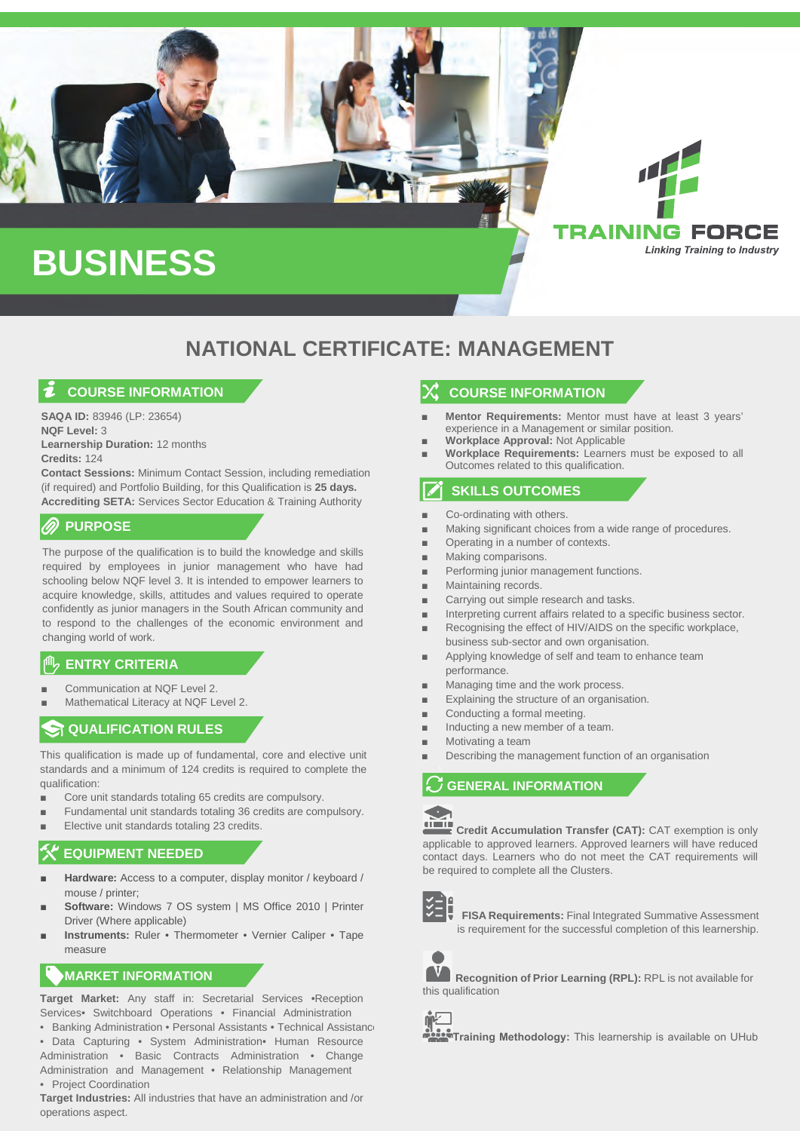

### **NATIONAL CERTIFICATE: MANAGEMENT**

### **COURSE INFORMATION**

**SAQA ID:** 83946 (LP: 23654) **NQF Level:** 3 **Learnership Duration:** 12 months **Credits:** 124

**Contact Sessions:** Minimum Contact Session, including remediation (if required) and Portfolio Building, for this Qualification is **25 days. Accrediting SETA:** Services Sector Education & Training Authority

### **PURPOSE**

The purpose of the qualification is to build the knowledge and skills required by employees in junior management who have had schooling below NQF level 3. It is intended to empower learners to acquire knowledge, skills, attitudes and values required to operate confidently as junior managers in the South African community and to respond to the challenges of the economic environment and changing world of work.

### **ENTRY CRITERIA**

- Communication at NQF Level 2.
- Mathematical Literacy at NOF Level 2.

### **ST QUALIFICATION RULES**

This qualification is made up of fundamental, core and elective unit standards and a minimum of 124 credits is required to complete the qualification:

- Core unit standards totaling 65 credits are compulsory.
- Fundamental unit standards totaling 36 credits are compulsory.
- Elective unit standards totaling 23 credits.

### **EQUIPMENT NEEDED**

- **Hardware:** Access to a computer, display monitor / keyboard / mouse / printer;
- **Software:** Windows 7 OS system | MS Office 2010 | Printer Driver (Where applicable)
- **Instruments: Ruler Thermometer Vernier Caliper Tape** measure

### **MARKET INFORMATION**

**Target Market:** Any staff in: Secretarial Services •Reception Services• Switchboard Operations • Financial Administration

- Banking Administration Personal Assistants Technical Assistance • Data Capturing • System Administration• Human Resource Administration • Basic Contracts Administration • Change Administration and Management • Relationship Management • Project Coordination
- **Target Industries:** All industries that have an administration and /or operations aspect.

### **COURSE INFORMATION**

- **Mentor Requirements:** Mentor must have at least 3 years' experience in a Management or similar position.
- Workplace Approval: Not Applicable
- **Workplace Requirements: Learners must be exposed to all** Outcomes related to this qualification.

### **SKILLS OUTCOMES**

- Co-ordinating with others.
- Making significant choices from a wide range of procedures.
- Operating in a number of contexts.
- Making comparisons.
- Performing junior management functions.
- Maintaining records.
- Carrying out simple research and tasks.
- Interpreting current affairs related to a specific business sector.
- Recognising the effect of HIV/AIDS on the specific workplace, business sub-sector and own organisation.
- Applying knowledge of self and team to enhance team performance.
- Managing time and the work process.
- Explaining the structure of an organisation.
- Conducting a formal meeting.
- Inducting a new member of a team.
- Motivating a team
- Describing the management function of an organisation

#### $\ddot{\phantom{0}}$ **GENERAL INFORMATION**



**Credit Accumulation Transfer (CAT):** CAT exemption is only applicable to approved learners. Approved learners will have reduced contact days. Learners who do not meet the CAT requirements will be required to complete all the Clusters.



**FISA Requirements:** Final Integrated Summative Assessment is requirement for the successful completion of this learnership.



**Recognition of Prior Learning (RPL):** RPL is not available for this qualification



**Training Methodology:** This learnership is available on UHub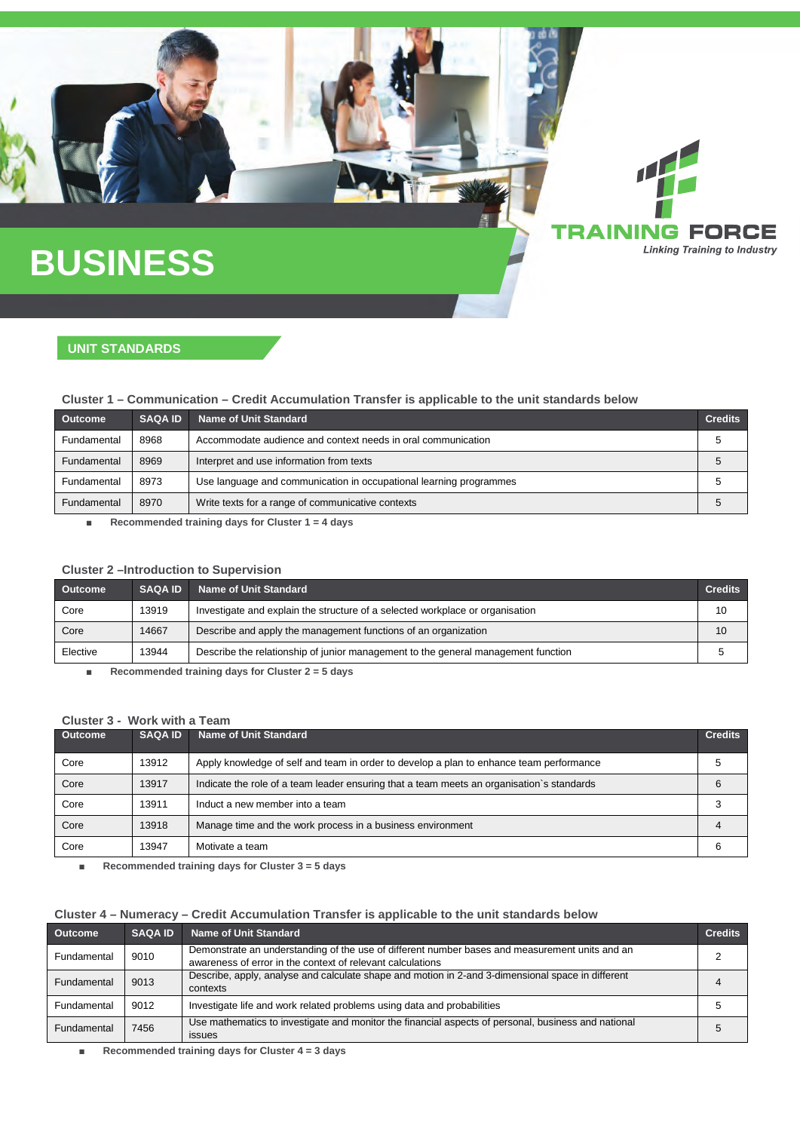## **BUSINESS**

### **UNIT STANDARDS**

### **Cluster 1 – Communication – Credit Accumulation Transfer is applicable to the unit standards below**

| <b>Outcome</b> | <b>SAQA ID</b> | <b>Name of Unit Standard</b>                                       | <b>Credits</b> |
|----------------|----------------|--------------------------------------------------------------------|----------------|
| Fundamental    | 8968           | Accommodate audience and context needs in oral communication       |                |
| Fundamental    | 8969           | Interpret and use information from texts                           |                |
| Fundamental    | 8973           | Use language and communication in occupational learning programmes |                |
| Fundamental    | 8970           | Write texts for a range of communicative contexts                  |                |

**G FORCE Linking Training to Industry** 

■ **Recommended training days for Cluster 1 = 4 days**

### **Cluster 2 –Introduction to Supervision**

| <b>Outcome</b> | <b>SAQA ID</b> | Name of Unit Standard                                                             | <b>Credits</b> |
|----------------|----------------|-----------------------------------------------------------------------------------|----------------|
| Core           | 13919          | Investigate and explain the structure of a selected workplace or organisation     | 10             |
| Core           | 14667          | Describe and apply the management functions of an organization                    | 10             |
| Elective       | 13944          | Describe the relationship of junior management to the general management function |                |

■ **Recommended training days for Cluster 2 = 5 days**

### **Cluster 3 - Work with a Team**

| Outcome | <b>SAQA ID</b> | Name of Unit Standard                                                                     | <b>Credits</b> |
|---------|----------------|-------------------------------------------------------------------------------------------|----------------|
| Core    | 13912          | Apply knowledge of self and team in order to develop a plan to enhance team performance   |                |
| Core    | 13917          | Indicate the role of a team leader ensuring that a team meets an organisation's standards |                |
| Core    | 13911          | Induct a new member into a team                                                           |                |
| Core    | 13918          | Manage time and the work process in a business environment                                |                |
| Core    | 13947          | Motivate a team                                                                           |                |

■ **Recommended training days for Cluster 3 = 5 days**

### **Cluster 4 – Numeracy – Credit Accumulation Transfer is applicable to the unit standards below**

| <b>Outcome</b> | <b>SAQA ID</b> | <b>Name of Unit Standard</b>                                                                                                                                 | <b>Credits</b> |
|----------------|----------------|--------------------------------------------------------------------------------------------------------------------------------------------------------------|----------------|
| Fundamental    | 9010           | Demonstrate an understanding of the use of different number bases and measurement units and an<br>awareness of error in the context of relevant calculations |                |
| Fundamental    | 9013           | Describe, apply, analyse and calculate shape and motion in 2-and 3-dimensional space in different<br>contexts                                                |                |
| Fundamental    | 9012           | Investigate life and work related problems using data and probabilities                                                                                      | .5             |
| Fundamental    | 7456           | Use mathematics to investigate and monitor the financial aspects of personal, business and national<br>issues                                                | <sub>5</sub>   |

■ **Recommended training days for Cluster 4 = 3 days**